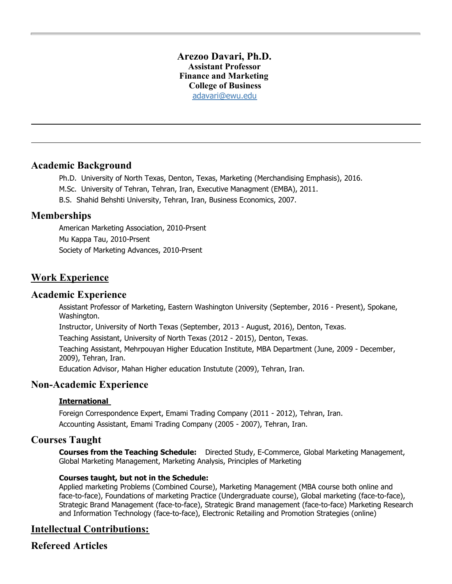### **Arezoo Davari, Ph.D. Assistant Professor Finance and Marketing College of Business** [adavari@ewu.edu](mailto:adavari@ewu.edu)

## **Academic Background**

- Ph.D. University of North Texas, Denton, Texas, Marketing (Merchandising Emphasis), 2016.
- M.Sc. University of Tehran, Tehran, Iran, Executive Managment (EMBA), 2011.
- B.S. Shahid Behshti University, Tehran, Iran, Business Economics, 2007.

## **Memberships**

American Marketing Association, 2010-Prsent Mu Kappa Tau, 2010-Prsent Society of Marketing Advances, 2010-Prsent

# **Work Experience**

### **Academic Experience**

Assistant Professor of Marketing, Eastern Washington University (September, 2016 - Present), Spokane, Washington.

Instructor, University of North Texas (September, 2013 - August, 2016), Denton, Texas.

Teaching Assistant, University of North Texas (2012 - 2015), Denton, Texas.

Teaching Assistant, Mehrpouyan Higher Education Institute, MBA Department (June, 2009 - December, 2009), Tehran, Iran.

Education Advisor, Mahan Higher education Instutute (2009), Tehran, Iran.

## **Non-Academic Experience**

#### **International**

Foreign Correspondence Expert, Emami Trading Company (2011 - 2012), Tehran, Iran. Accounting Assistant, Emami Trading Company (2005 - 2007), Tehran, Iran.

## **Courses Taught**

**Courses from the Teaching Schedule:** Directed Study, E-Commerce, Global Marketing Management, Global Marketing Management, Marketing Analysis, Principles of Marketing

#### **Courses taught, but not in the Schedule:**

Applied marketing Problems (Combined Course), Marketing Management (MBA course both online and face-to-face), Foundations of marketing Practice (Undergraduate course), Global marketing (face-to-face), Strategic Brand Management (face-to-face), Strategic Brand management (face-to-face) Marketing Research and Information Technology (face-to-face), Electronic Retailing and Promotion Strategies (online)

# **Intellectual Contributions:**

# **Refereed Articles**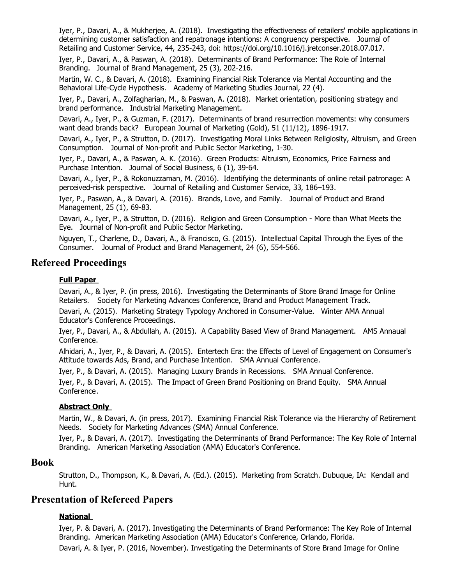Iyer, P., Davari, A., & Mukherjee, A. (2018). Investigating the effectiveness of retailers' mobile applications in determining customer satisfaction and repatronage intentions: A congruency perspective. Journal of Retailing and Customer Service, 44, 235-243, doi: https://doi.org/10.1016/j.jretconser.2018.07.017.

Iyer, P., Davari, A., & Paswan, A. (2018). Determinants of Brand Performance: The Role of Internal Branding. Journal of Brand Management, 25 (3), 202-216.

Martin, W. C., & Davari, A. (2018). Examining Financial Risk Tolerance via Mental Accounting and the Behavioral Life-Cycle Hypothesis. Academy of Marketing Studies Journal, 22 (4).

Iyer, P., Davari, A., Zolfagharian, M., & Paswan, A. (2018). Market orientation, positioning strategy and brand performance. Industrial Marketing Management.

Davari, A., Iyer, P., & Guzman, F. (2017). Determinants of brand resurrection movements: why consumers want dead brands back? European Journal of Marketing (Gold), 51 (11/12), 1896-1917.

Davari, A., Iyer, P., & Strutton, D. (2017). Investigating Moral Links Between Religiosity, Altruism, and Green Consumption. Journal of Non-profit and Public Sector Marketing, 1-30.

Iyer, P., Davari, A., & Paswan, A. K. (2016). Green Products: Altruism, Economics, Price Fairness and Purchase Intention. Journal of Social Business, 6 (1), 39-64.

Davari, A., Iyer, P., & Rokonuzzaman, M. (2016). Identifying the determinants of online retail patronage: A perceived-risk perspective. Journal of Retailing and Customer Service, 33, 186–193.

Iyer, P., Paswan, A., & Davari, A. (2016). Brands, Love, and Family. Journal of Product and Brand Management, 25 (1), 69-83.

Davari, A., Iyer, P., & Strutton, D. (2016). Religion and Green Consumption - More than What Meets the Eye. Journal of Non-profit and Public Sector Marketing.

Nguyen, T., Charlene, D., Davari, A., & Francisco, G. (2015). Intellectual Capital Through the Eyes of the Consumer. Journal of Product and Brand Management, 24 (6), 554-566.

## **Refereed Proceedings**

#### **Full Paper**

Davari, A., & Iyer, P. (in press, 2016). Investigating the Determinants of Store Brand Image for Online Retailers. Society for Marketing Advances Conference, Brand and Product Management Track.

Davari, A. (2015). Marketing Strategy Typology Anchored in Consumer-Value. Winter AMA Annual Educator's Conference Proceedings.

Iyer, P., Davari, A., & Abdullah, A. (2015). A Capability Based View of Brand Management. AMS Annaual Conference.

Alhidari, A., Iyer, P., & Davari, A. (2015). Entertech Era: the Effects of Level of Engagement on Consumer's Attitude towards Ads, Brand, and Purchase Intention. SMA Annual Conference.

Iyer, P., & Davari, A. (2015). Managing Luxury Brands in Recessions. SMA Annual Conference.

Iyer, P., & Davari, A. (2015). The Impact of Green Brand Positioning on Brand Equity. SMA Annual Conference.

#### **Abstract Only**

Martin, W., & Davari, A. (in press, 2017). Examining Financial Risk Tolerance via the Hierarchy of Retirement Needs. Society for Marketing Advances (SMA) Annual Conference.

Iyer, P., & Davari, A. (2017). Investigating the Determinants of Brand Performance: The Key Role of Internal Branding. American Marketing Association (AMA) Educator's Conference.

#### **Book**

Strutton, D., Thompson, K., & Davari, A. (Ed.). (2015). Marketing from Scratch. Dubuque, IA: Kendall and Hunt.

## **Presentation of Refereed Papers**

#### **National**

Iyer, P. & Davari, A. (2017). Investigating the Determinants of Brand Performance: The Key Role of Internal Branding. American Marketing Association (AMA) Educator's Conference, Orlando, Florida. Davari, A. & Iyer, P. (2016, November). Investigating the Determinants of Store Brand Image for Online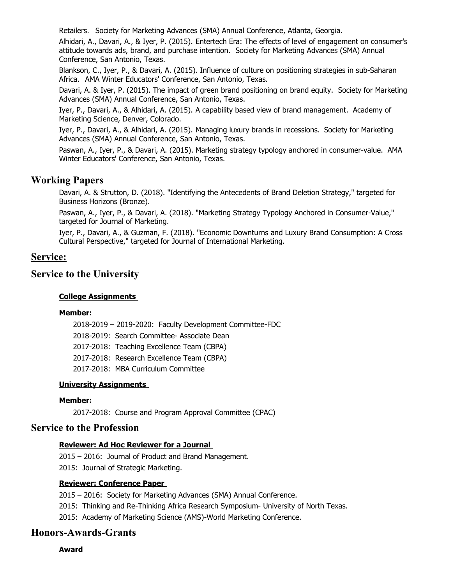Retailers. Society for Marketing Advances (SMA) Annual Conference, Atlanta, Georgia.

Alhidari, A., Davari, A., & Iyer, P. (2015). Entertech Era: The effects of level of engagement on consumer's attitude towards ads, brand, and purchase intention. Society for Marketing Advances (SMA) Annual Conference, San Antonio, Texas.

Blankson, C., Iyer, P., & Davari, A. (2015). Influence of culture on positioning strategies in sub-Saharan Africa. AMA Winter Educators' Conference, San Antonio, Texas.

Davari, A. & Iyer, P. (2015). The impact of green brand positioning on brand equity. Society for Marketing Advances (SMA) Annual Conference, San Antonio, Texas.

Iyer, P., Davari, A., & Alhidari, A. (2015). A capability based view of brand management. Academy of Marketing Science, Denver, Colorado.

Iyer, P., Davari, A., & Alhidari, A. (2015). Managing luxury brands in recessions. Society for Marketing Advances (SMA) Annual Conference, San Antonio, Texas.

Paswan, A., Iyer, P., & Davari, A. (2015). Marketing strategy typology anchored in consumer-value. AMA Winter Educators' Conference, San Antonio, Texas.

## **Working Papers**

Davari, A. & Strutton, D. (2018). "Identifying the Antecedents of Brand Deletion Strategy," targeted for Business Horizons (Bronze).

Paswan, A., Iyer, P., & Davari, A. (2018). "Marketing Strategy Typology Anchored in Consumer-Value," targeted for Journal of Marketing.

Iyer, P., Davari, A., & Guzman, F. (2018). "Economic Downturns and Luxury Brand Consumption: A Cross Cultural Perspective," targeted for Journal of International Marketing.

## **Service:**

## **Service to the University**

#### **College Assignments**

#### **Member:**

2018-2019 – 2019-2020: Faculty Development Committee-FDC 2018-2019: Search Committee- Associate Dean 2017-2018: Teaching Excellence Team (CBPA) 2017-2018: Research Excellence Team (CBPA)

2017-2018: MBA Curriculum Committee

#### **University Assignments**

#### **Member:**

2017-2018: Course and Program Approval Committee (CPAC)

## **Service to the Profession**

#### **Reviewer: Ad Hoc Reviewer for a Journal**

2015 – 2016: Journal of Product and Brand Management. 2015: Journal of Strategic Marketing.

### **Reviewer: Conference Paper**

2015 – 2016: Society for Marketing Advances (SMA) Annual Conference.

2015: Thinking and Re-Thinking Africa Research Symposium- University of North Texas.

2015: Academy of Marketing Science (AMS)-World Marketing Conference.

## **Honors-Awards-Grants**

**Award**